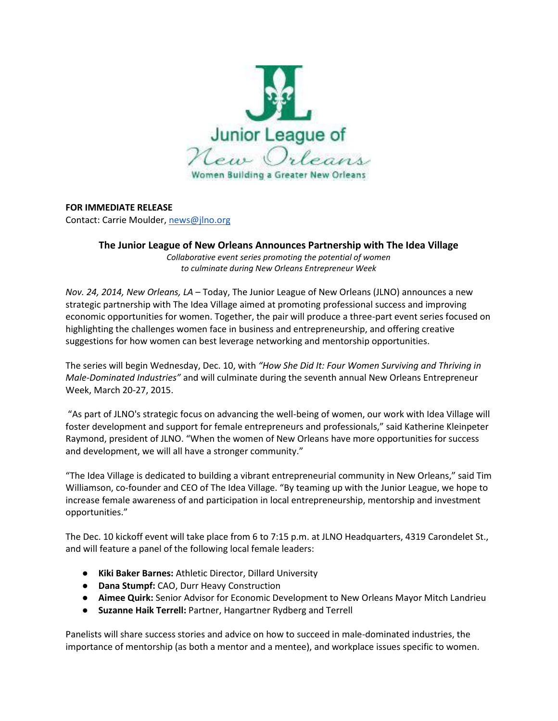

## **FOR IMMEDIATE RELEASE**

Contact: Carrie Moulder, [news@jlno.org](mailto:news@jlno.org)

## **The Junior League of New Orleans Announces Partnership with The Idea Village**

*Collaborative event series promoting the potential of women to culminate during New Orleans Entrepreneur Week* 

*Nov. 24, 2014, New Orleans, LA* – Today, The Junior League of New Orleans (JLNO) announces a new strategic partnership with The Idea Village aimed at promoting professional success and improving economic opportunities for women. Together, the pair will produce a three-part event series focused on highlighting the challenges women face in business and entrepreneurship, and offering creative suggestions for how women can best leverage networking and mentorship opportunities.

The series will begin Wednesday, Dec. 10, with *"How She Did It: Four Women Surviving and Thriving in Male-Dominated Industries"* and will culminate during the seventh annual New Orleans Entrepreneur Week, March 20-27, 2015.

"As part of JLNO's strategic focus on advancing the well-being of women, our work with Idea Village will foster development and support for female entrepreneurs and professionals," said Katherine Kleinpeter Raymond, president of JLNO. "When the women of New Orleans have more opportunities for success and development, we will all have a stronger community."

"The Idea Village is dedicated to building a vibrant entrepreneurial community in New Orleans," said Tim Williamson, co-founder and CEO of The Idea Village. "By teaming up with the Junior League, we hope to increase female awareness of and participation in local entrepreneurship, mentorship and investment opportunities."

The Dec. 10 kickoff event will take place from 6 to 7:15 p.m. at JLNO Headquarters, 4319 Carondelet St., and will feature a panel of the following local female leaders:

- **Kiki Baker Barnes:** Athletic Director, Dillard University
- **Dana Stumpf:** CAO, Durr Heavy Construction
- **Aimee Quirk:** Senior Advisor for Economic Development to New Orleans Mayor Mitch Landrieu
- **Suzanne Haik Terrell:** Partner, Hangartner Rydberg and Terrell

Panelists will share success stories and advice on how to succeed in male-dominated industries, the importance of mentorship (as both a mentor and a mentee), and workplace issues specific to women.